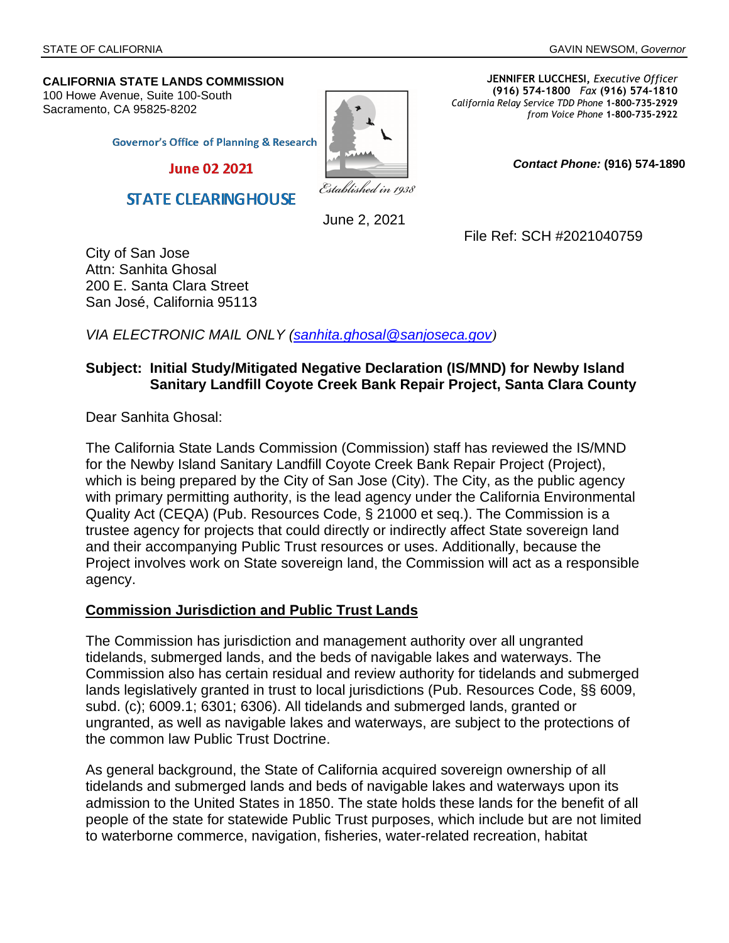**CALIFORNIA STATE LANDS COMMISSION** 100 Howe Avenue, Suite 100-South

Sacramento, CA 95825-8202



**JENNIFER LUCCHESI,** *Executive Officer* **(916) 574-1800** *Fax* **(916) 574-1810**  *California Relay Service TDD Phone* **1-800-735-2929** *from Voice Phone* **1-800-735-2922** 

**Governor's Office of Planning & Research** 

**June 02 2021** 

**STATE CLEARING HOUSE** 

Established in 1938

June 2, 2021

File Ref: SCH #2021040759

*Contact Phone:* **(916) 574-1890** 

City of San Jose Attn: Sanhita Ghosal 200 E. Santa Clara Street San José, California 95113

*VIA ELECTRONIC MAIL ONLY ([sanhita.ghosal@sanjoseca.gov](mailto:sanhita.ghosal@sanjoseca.gov))*

#### **Subject: Initial Study/Mitigated Negative Declaration (IS/MND) for Newby Island Sanitary Landfill Coyote Creek Bank Repair Project, Santa Clara County**

Dear Sanhita Ghosal:

The California State Lands Commission (Commission) staff has reviewed the IS/MND for the Newby Island Sanitary Landfill Coyote Creek Bank Repair Project (Project), which is being prepared by the City of San Jose (City). The City, as the public agency with primary permitting authority, is the lead agency under the California Environmental Quality Act (CEQA) (Pub. Resources Code, § 21000 et seq.). The Commission is a trustee agency for projects that could directly or indirectly affect State sovereign land and their accompanying Public Trust resources or uses. Additionally, because the Project involves work on State sovereign land, the Commission will act as a responsible agency.

#### **Commission Jurisdiction and Public Trust Lands**

The Commission has jurisdiction and management authority over all ungranted tidelands, submerged lands, and the beds of navigable lakes and waterways. The Commission also has certain residual and review authority for tidelands and submerged lands legislatively granted in trust to local jurisdictions (Pub. Resources Code, §§ 6009, subd. (c); 6009.1; 6301; 6306). All tidelands and submerged lands, granted or ungranted, as well as navigable lakes and waterways, are subject to the protections of the common law Public Trust Doctrine.

As general background, the State of California acquired sovereign ownership of all tidelands and submerged lands and beds of navigable lakes and waterways upon its admission to the United States in 1850. The state holds these lands for the benefit of all people of the state for statewide Public Trust purposes, which include but are not limited to waterborne commerce, navigation, fisheries, water-related recreation, habitat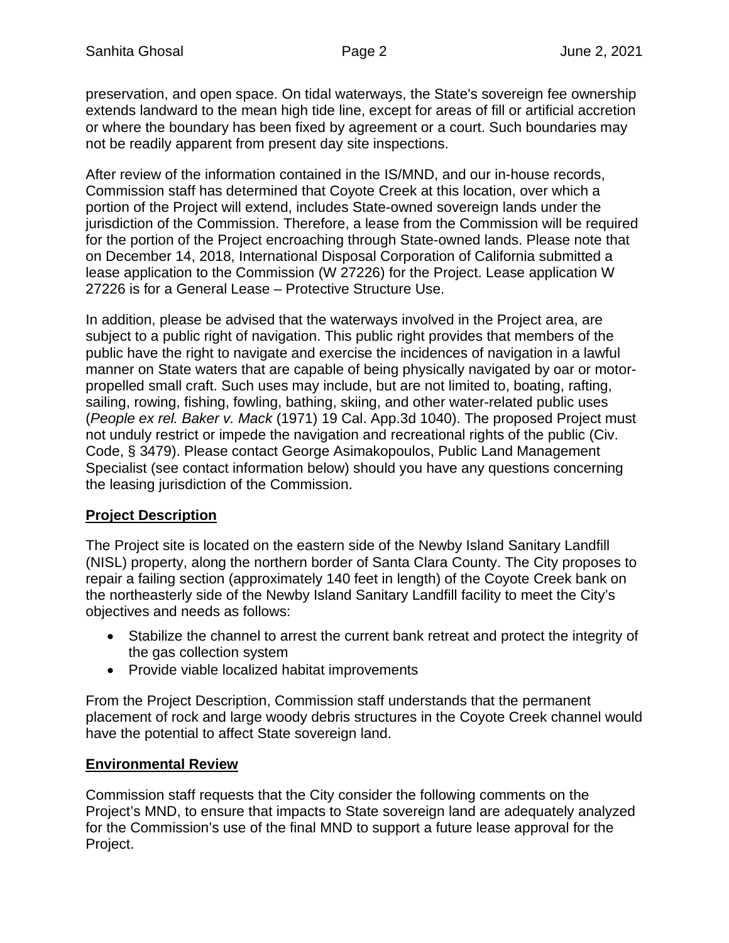preservation, and open space. On tidal waterways, the State's sovereign fee ownership extends landward to the mean high tide line, except for areas of fill or artificial accretion or where the boundary has been fixed by agreement or a court. Such boundaries may not be readily apparent from present day site inspections.

After review of the information contained in the IS/MND, and our in-house records, Commission staff has determined that Coyote Creek at this location, over which a portion of the Project will extend, includes State-owned sovereign lands under the jurisdiction of the Commission. Therefore, a lease from the Commission will be required for the portion of the Project encroaching through State-owned lands. Please note that on December 14, 2018, International Disposal Corporation of California submitted a lease application to the Commission (W 27226) for the Project. Lease application W 27226 is for a General Lease – Protective Structure Use.

In addition, please be advised that the waterways involved in the Project area, are subject to a public right of navigation. This public right provides that members of the public have the right to navigate and exercise the incidences of navigation in a lawful manner on State waters that are capable of being physically navigated by oar or motorpropelled small craft. Such uses may include, but are not limited to, boating, rafting, sailing, rowing, fishing, fowling, bathing, skiing, and other water-related public uses (*People ex rel. Baker v. Mack* (1971) 19 Cal. App.3d 1040). The proposed Project must not unduly restrict or impede the navigation and recreational rights of the public (Civ. Code, § 3479). Please contact George Asimakopoulos, Public Land Management Specialist (see contact information below) should you have any questions concerning the leasing jurisdiction of the Commission.

# **Project Description**

The Project site is located on the eastern side of the Newby Island Sanitary Landfill (NISL) property, along the northern border of Santa Clara County. The City proposes to repair a failing section (approximately 140 feet in length) of the Coyote Creek bank on the northeasterly side of the Newby Island Sanitary Landfill facility to meet the City's objectives and needs as follows:

- Stabilize the channel to arrest the current bank retreat and protect the integrity of the gas collection system
- Provide viable localized habitat improvements

From the Project Description, Commission staff understands that the permanent placement of rock and large woody debris structures in the Coyote Creek channel would have the potential to affect State sovereign land.

# **Environmental Review**

Commission staff requests that the City consider the following comments on the Project's MND, to ensure that impacts to State sovereign land are adequately analyzed for the Commission's use of the final MND to support a future lease approval for the Project.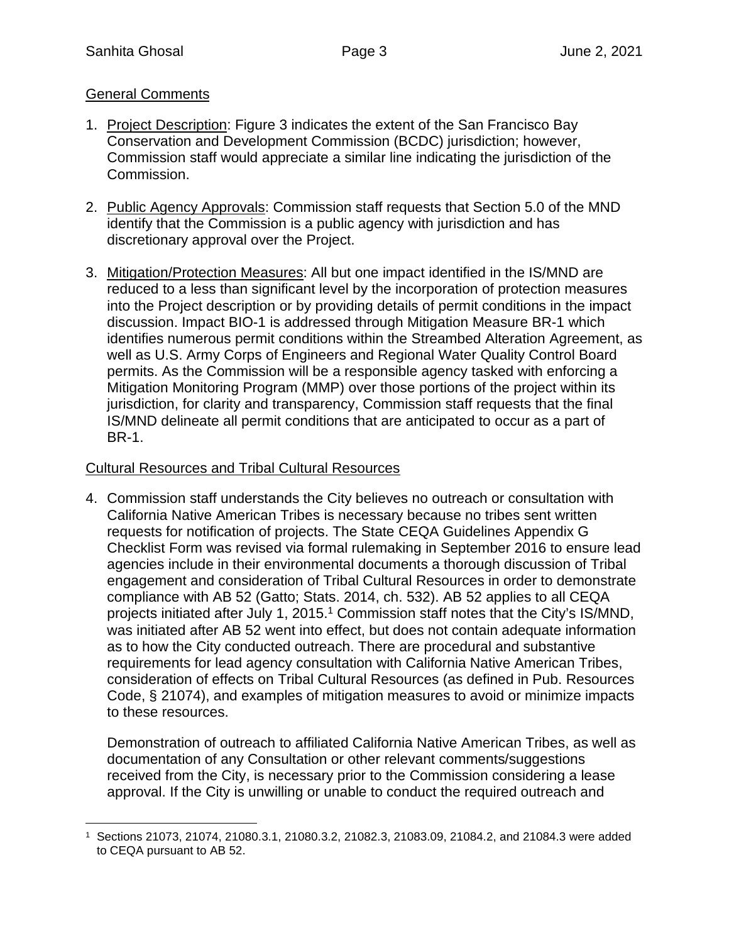### General Comments

- 1. Project Description: Figure 3 indicates the extent of the San Francisco Bay Conservation and Development Commission (BCDC) jurisdiction; however, Commission staff would appreciate a similar line indicating the jurisdiction of the Commission.
- 2. Public Agency Approvals: Commission staff requests that Section 5.0 of the MND identify that the Commission is a public agency with jurisdiction and has discretionary approval over the Project.
- 3. Mitigation/Protection Measures: All but one impact identified in the IS/MND are reduced to a less than significant level by the incorporation of protection measures into the Project description or by providing details of permit conditions in the impact discussion. Impact BIO-1 is addressed through Mitigation Measure BR-1 which identifies numerous permit conditions within the Streambed Alteration Agreement, as well as U.S. Army Corps of Engineers and Regional Water Quality Control Board permits. As the Commission will be a responsible agency tasked with enforcing a Mitigation Monitoring Program (MMP) over those portions of the project within its jurisdiction, for clarity and transparency, Commission staff requests that the final IS/MND delineate all permit conditions that are anticipated to occur as a part of BR-1.

### Cultural Resources and Tribal Cultural Resources

4. Commission staff understands the City believes no outreach or consultation with California Native American Tribes is necessary because no tribes sent written requests for notification of projects. The State CEQA Guidelines Appendix G Checklist Form was revised via formal rulemaking in September 2016 to ensure lead agencies include in their environmental documents a thorough discussion of Tribal engagement and consideration of Tribal Cultural Resources in order to demonstrate compliance with AB 52 (Gatto; Sta[ts](#page-2-0). 2014, ch. 532). AB 52 applies to all CEQA projects initiated after July 1, 2015.<sup>1</sup> Commission staff notes that the City's IS/MND, was initiated after AB 52 went into effect, but does not contain adequate information as to how the City conducted outreach. There are procedural and substantive requirements for lead agency consultation with California Native American Tribes, consideration of effects on Tribal Cultural Resources (as defined in Pub. Resources Code, § 21074), and examples of mitigation measures to avoid or minimize impacts to these resources.

Demonstration of outreach to affiliated California Native American Tribes, as well as documentation of any Consultation or other relevant comments/suggestions received from the City, is necessary prior to the Commission considering a lease approval. If the City is unwilling or unable to conduct the required outreach and

<span id="page-2-0"></span><sup>1</sup> Sections 21073, 21074, 21080.3.1, 21080.3.2, 21082.3, 21083.09, 21084.2, and 21084.3 were added to CEQA pursuant to AB 52.